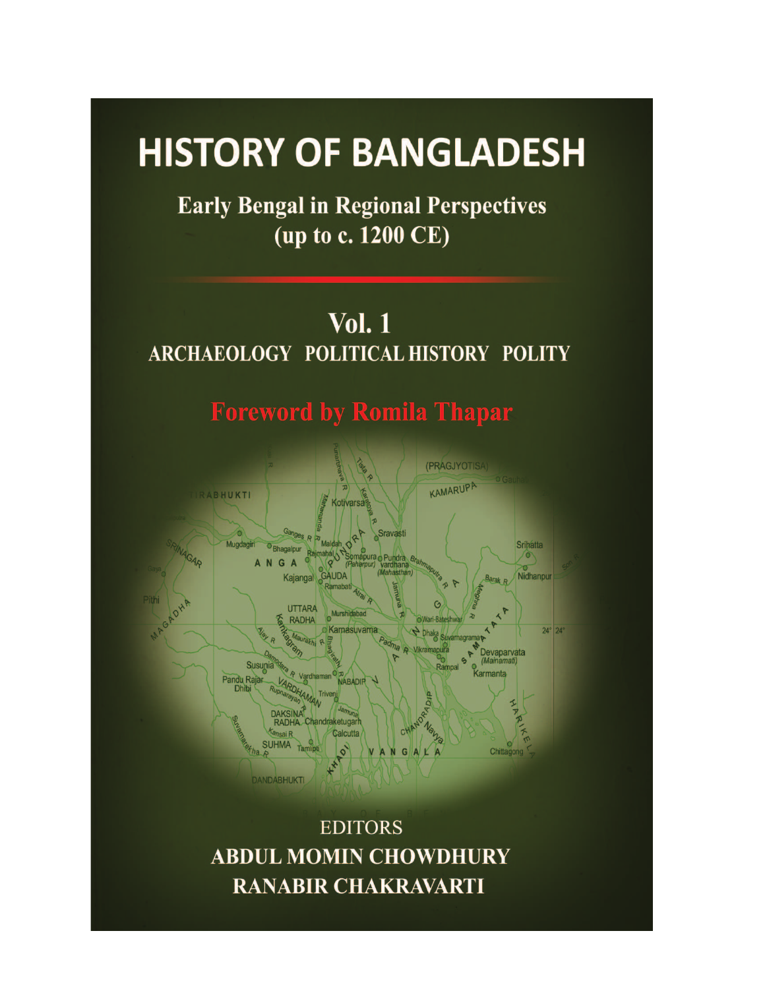# **HISTORY OF BANGLADESH**

**Early Bengal in Regional Perspectives** (up to c. 1200 CE)

**Vol. 1** ARCHAEOLOGY POLITICAL HISTORY POLITY

**Foreword by Romila Thapar** 



**EDITORS ABDUL MOMIN CHOWDHURY RANABIR CHAKRAVARTI**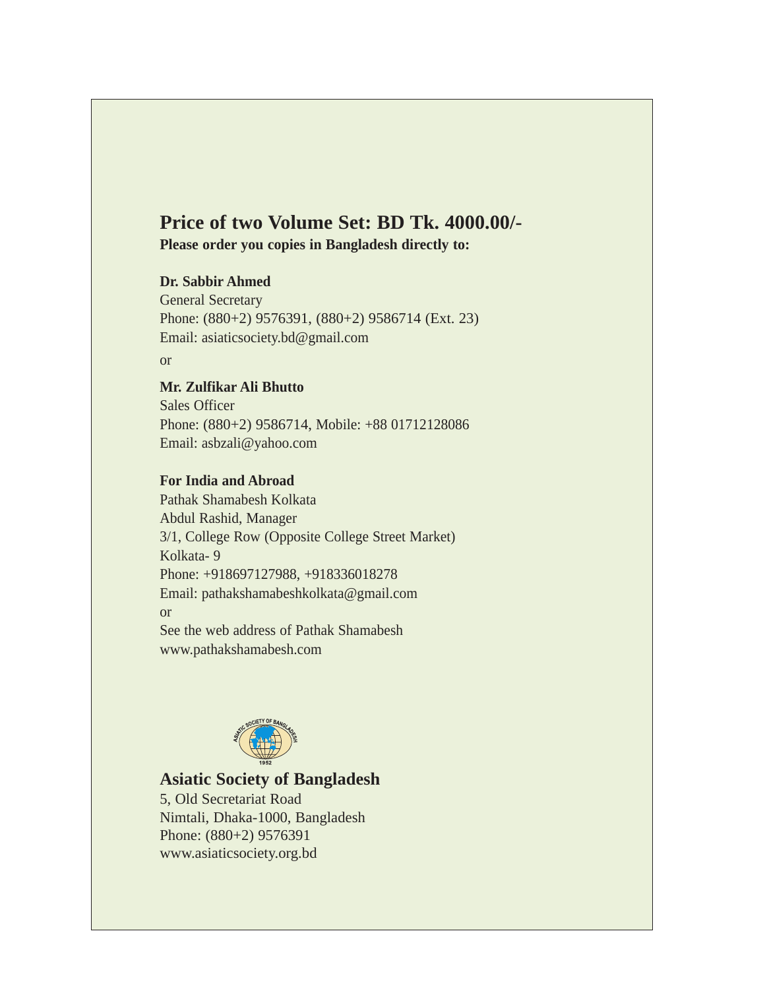# **Price of two Volume Set: BD Tk. 4000.00/-**

**Please order you copies in Bangladesh directly to:** 

## **Dr. Sabbir Ahmed**

General Secretary Phone: (880+2) 9576391, (880+2) 9586714 (Ext. 23) Email: asiaticsociety.bd@gmail.com

or

# **Mr. Zulfikar Ali Bhutto**

Sales Officer Phone: (880+2) 9586714, Mobile: +88 01712128086 Email: asbzali@yahoo.com

## **For India and Abroad**

Pathak Shamabesh Kolkata Abdul Rashid, Manager 3/1, College Row (Opposite College Street Market) Kolkata- 9 Phone: +918697127988, +918336018278 Email: pathakshamabeshkolkata@gmail.com or See the web address of Pathak Shamabesh www.pathakshamabesh.com



# **Asiatic Society of Bangladesh**

5, Old Secretariat Road Nimtali, Dhaka-1000, Bangladesh Phone: (880+2) 9576391 www.asiaticsociety.org.bd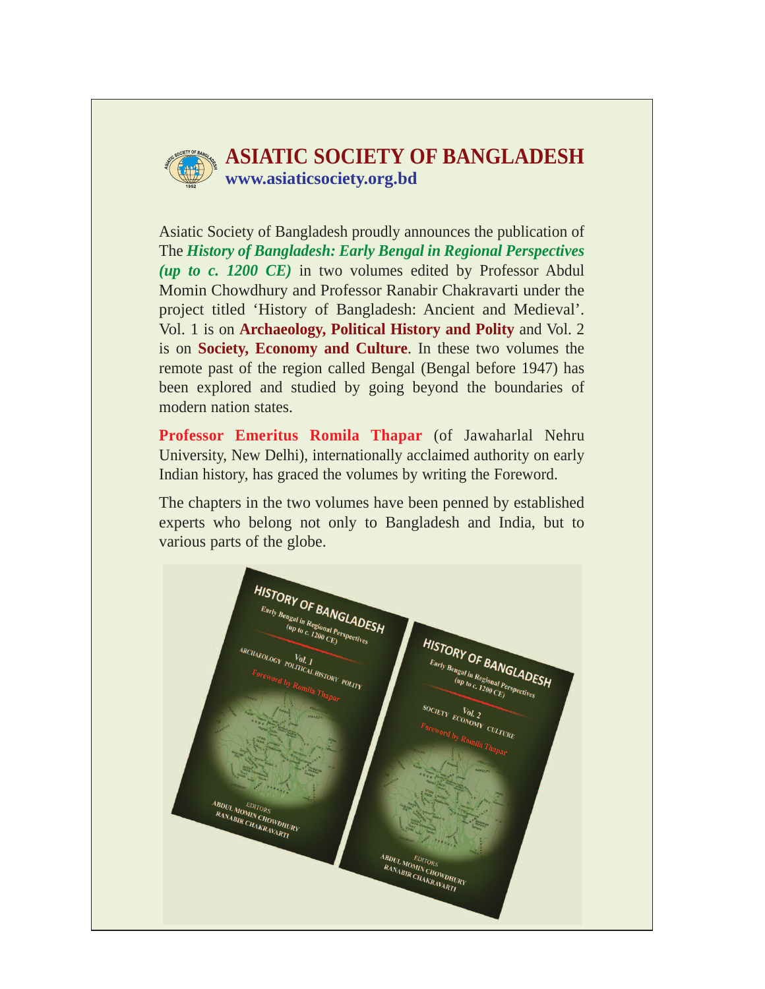

# **ASIATIC SOCIETY OF BANGLADESH www.asiaticsociety.org.bd**

Asiatic Society of Bangladesh proudly announces the publication of The *History of Bangladesh: Early Bengal in Regional Perspectives (up to c. 1200 CE)* in two volumes edited by Professor Abdul Momin Chowdhury and Professor Ranabir Chakravarti under the project titled 'History of Bangladesh: Ancient and Medieval'. Vol. 1 is on **Archaeology, Political History and Polity** and Vol. 2 is on **Society, Economy and Culture**. In these two volumes the remote past of the region called Bengal (Bengal before 1947) has been explored and studied by going beyond the boundaries of modern nation states.

**Professor Emeritus Romila Thapar** (of Jawaharlal Nehru University, New Delhi), internationally acclaimed authority on early Indian history, has graced the volumes by writing the Foreword.

The chapters in the two volumes have been penned by established experts who belong not only to Bangladesh and India, but to various parts of the globe.

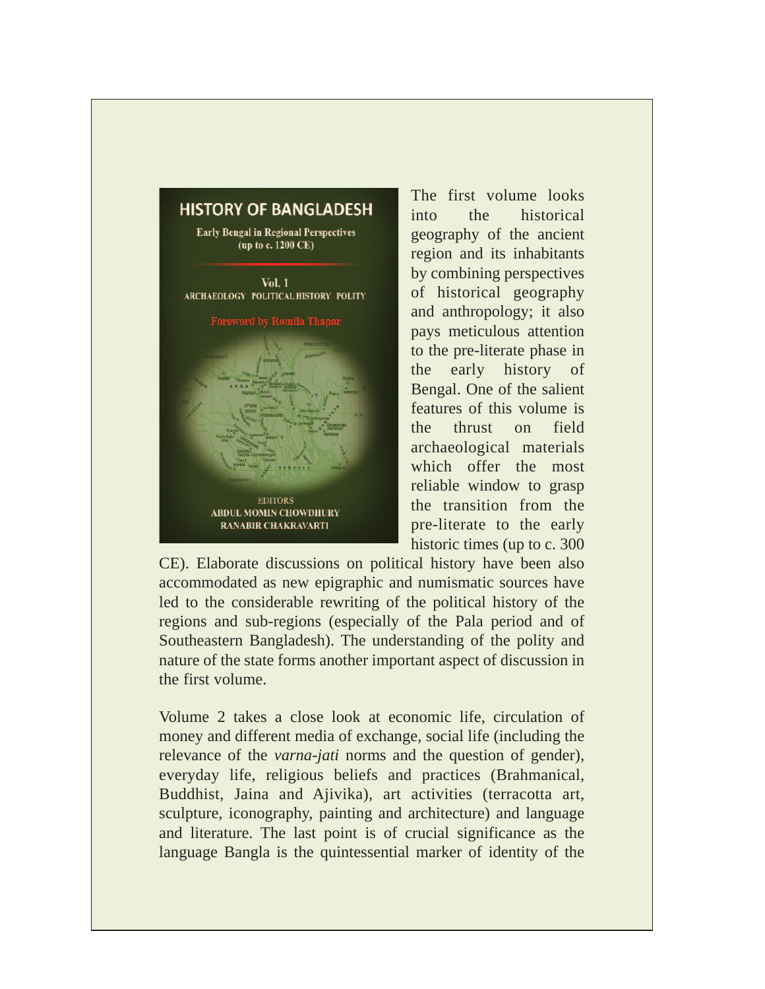# **HISTORY OF BANGLADESH**

**Early Bengal in Regional Perspectives** (up to c. 1200 CE)

 $Vol. 1$ ARCHAEOLOGY POLITICAL HISTORY POLITY **Foreword by Romila Thapar EDITORS ABDUL MOMIN CHOWDHURY RANABIR CHAKRAVARTI** 

The first volume looks into the historical geography of the ancient region and its inhabitants by combining perspectives of historical geography and anthropology; it also pays meticulous attention to the pre-literate phase in the early history of Bengal. One of the salient features of this volume is the thrust on field archaeological materials which offer the most reliable window to grasp the transition from the pre-literate to the early historic times (up to c. 300

CE). Elaborate discussions on political history have been also accommodated as new epigraphic and numismatic sources have led to the considerable rewriting of the political history of the regions and sub-regions (especially of the Pala period and of Southeastern Bangladesh). The understanding of the polity and nature of the state forms another important aspect of discussion in the first volume.

Volume 2 takes a close look at economic life, circulation of money and different media of exchange, social life (including the relevance of the *varna-jati* norms and the question of gender), everyday life, religious beliefs and practices (Brahmanical, Buddhist, Jaina and Ajivika), art activities (terracotta art, sculpture, iconography, painting and architecture) and language and literature. The last point is of crucial significance as the language Bangla is the quintessential marker of identity of the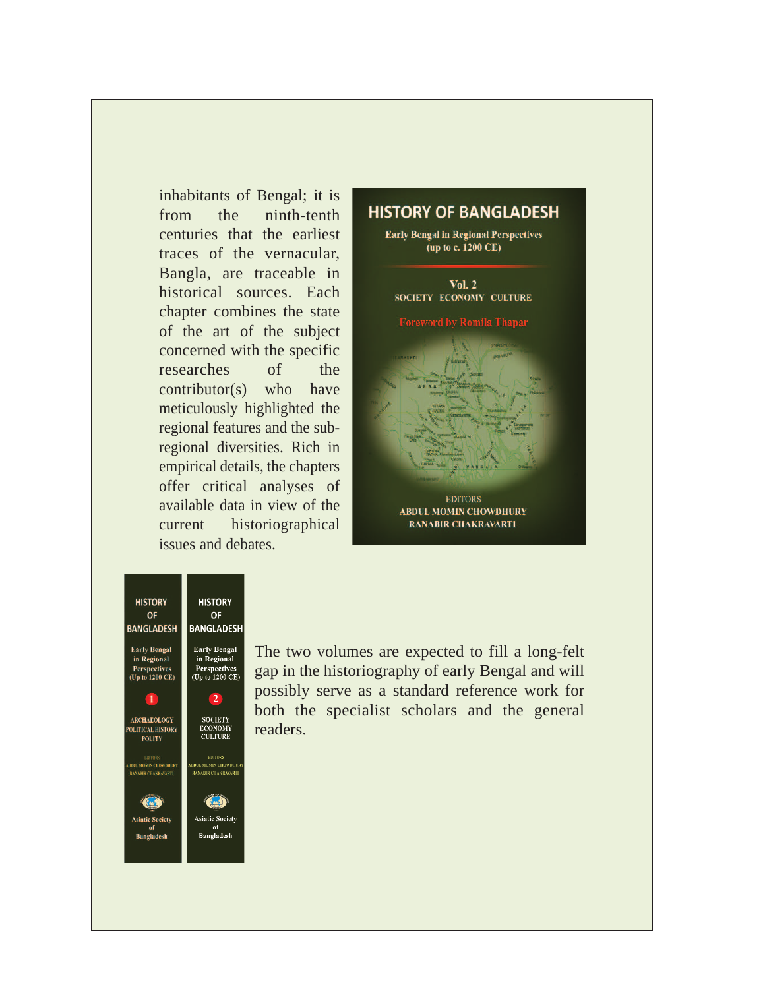inhabitants of Bengal; it is from the ninth-tenth centuries that the earliest traces of the vernacular, Bangla, are traceable in historical sources. Each chapter combines the state of the art of the subject concerned with the specific researches of the contributor(s) who have meticulously highlighted the regional features and the subregional diversities. Rich in empirical details, the chapters offer critical analyses of available data in view of the current historiographical issues and debates.

# **HISTORY OF BANGLADESH Early Bengal in Regional Perspectives** (up to c. 1200 CE) **Vol. 2 SOCIETY ECONOMY CULTURE Toreword by Romila Thapa EDITORS ABDUL MOMIN CHOWDHURY RANABIR CHAKRAVARTI**

**HISTORY HISTORY OF BANGLADESH BANGLADESH Early Bengal Early Bengal** 

in Regional

Perspectives<br>(Up to 1200 CE)

 $\overline{2}$ 

**SOCIETY** ECONOMY<br>CULTURE

**EDITORS** 

BDUL MOMIN CHOWDHU<br>RANABIR CHAKRAVART

 $f(x)$ 

**Asiatic Society** Bangladesh

**OF** 

in Regional

Perspectives<br>(Up to 1200 CE)

T ARCHAEOLOGY

POLITICAL HISTORY **POLITY** 

EDITORS<br>DUL MOMIN <mark>CH</mark>OWDHURY

**ANABIR CHAKRAVARI** 

Guin

**Asiatic Society** 

**Bangladesh** 

The two volumes are expected to fill a long-felt gap in the historiography of early Bengal and will possibly serve as a standard reference work for both the specialist scholars and the general readers.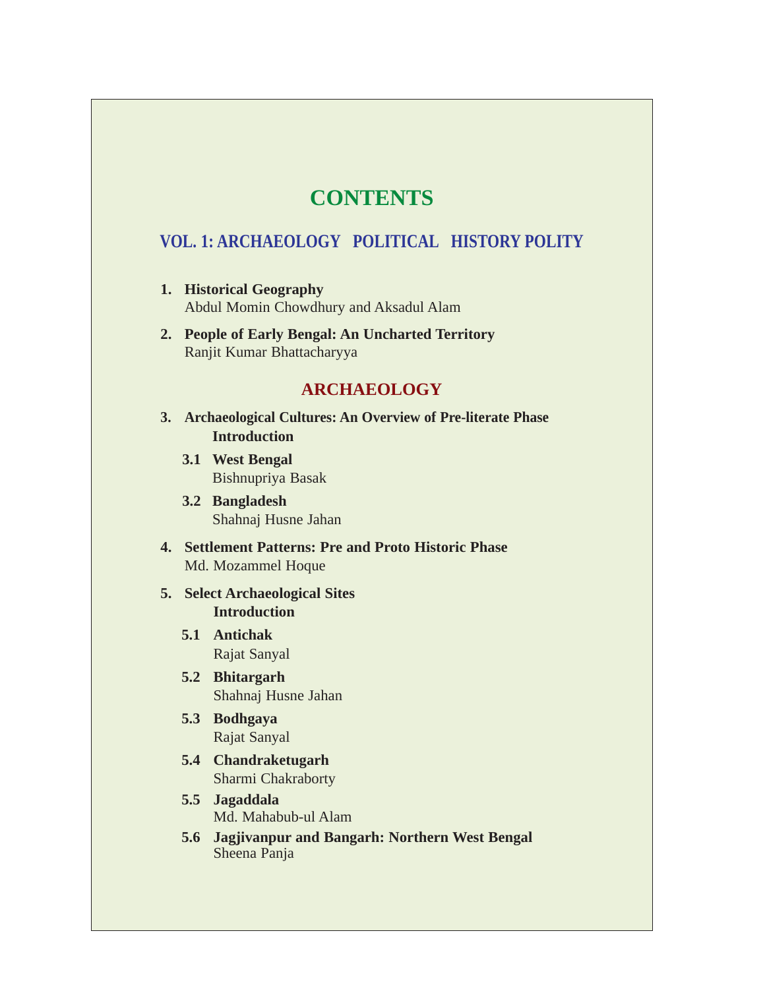# **CONTENTS**

# **VOL. 1: ARCHAEOLOGY POLITICAL HISTORY POLITY**

- **1. Historical Geography** Abdul Momin Chowdhury and Aksadul Alam
- **2. People of Early Bengal: An Uncharted Territory** Ranjit Kumar Bhattacharyya

# **ARCHAEOLOGY**

- **3. Archaeological Cultures: An Overview of Pre-literate Phase Introduction** 
	- **3.1 West Bengal** Bishnupriya Basak
	- **3.2 Bangladesh** Shahnaj Husne Jahan
- **4. Settlement Patterns: Pre and Proto Historic Phase** Md. Mozammel Hoque
- **5. Select Archaeological Sites Introduction**
	- **5.1 Antichak** Rajat Sanyal
	- **5.2 Bhitargarh** Shahnaj Husne Jahan
	- **5.3 Bodhgaya** Rajat Sanyal
	- **5.4 Chandraketugarh** Sharmi Chakraborty
	- **5.5 Jagaddala** Md. Mahabub-ul Alam
	- **5.6 Jagjivanpur and Bangarh: Northern West Bengal** Sheena Panja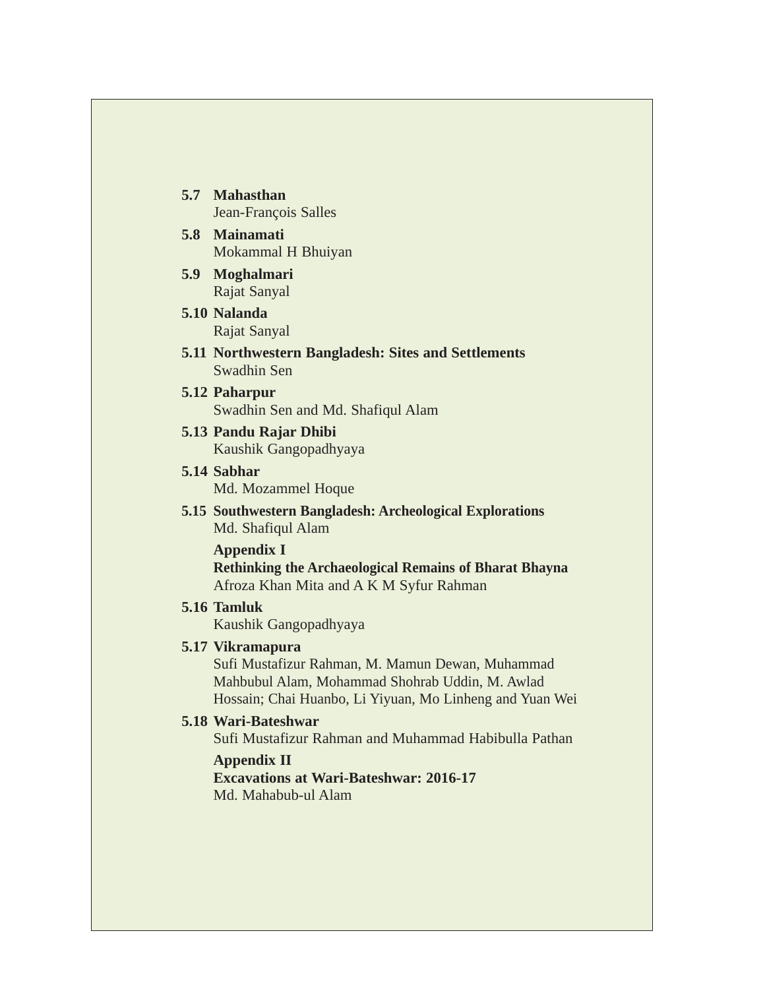- **5.7 Mahasthan** Jean-François Salles
- **5.8 Mainamati**  Mokammal H Bhuiyan
- **5.9 Moghalmari**  Rajat Sanyal
- **5.10 Nalanda**  Rajat Sanyal
- **5.11 Northwestern Bangladesh: Sites and Settlements** Swadhin Sen
- **5.12 Paharpur** Swadhin Sen and Md. Shafiqul Alam
- **5.13 Pandu Rajar Dhibi** Kaushik Gangopadhyaya
- **5.14 Sabhar** Md. Mozammel Hoque
- **5.15 Southwestern Bangladesh: Archeological Explorations** Md. Shafiqul Alam

**Appendix I Rethinking the Archaeological Remains of Bharat Bhayna**  Afroza Khan Mita and A K M Syfur Rahman

**5.16 Tamluk**

Kaushik Gangopadhyaya

## **5.17 Vikramapura**

Sufi Mustafizur Rahman, M. Mamun Dewan, Muhammad Mahbubul Alam, Mohammad Shohrab Uddin, M. Awlad Hossain; Chai Huanbo, Li Yiyuan, Mo Linheng and Yuan Wei

# **5.18 Wari-Bateshwar**

Sufi Mustafizur Rahman and Muhammad Habibulla Pathan

**Appendix II Excavations at Wari-Bateshwar: 2016-17** Md. Mahabub-ul Alam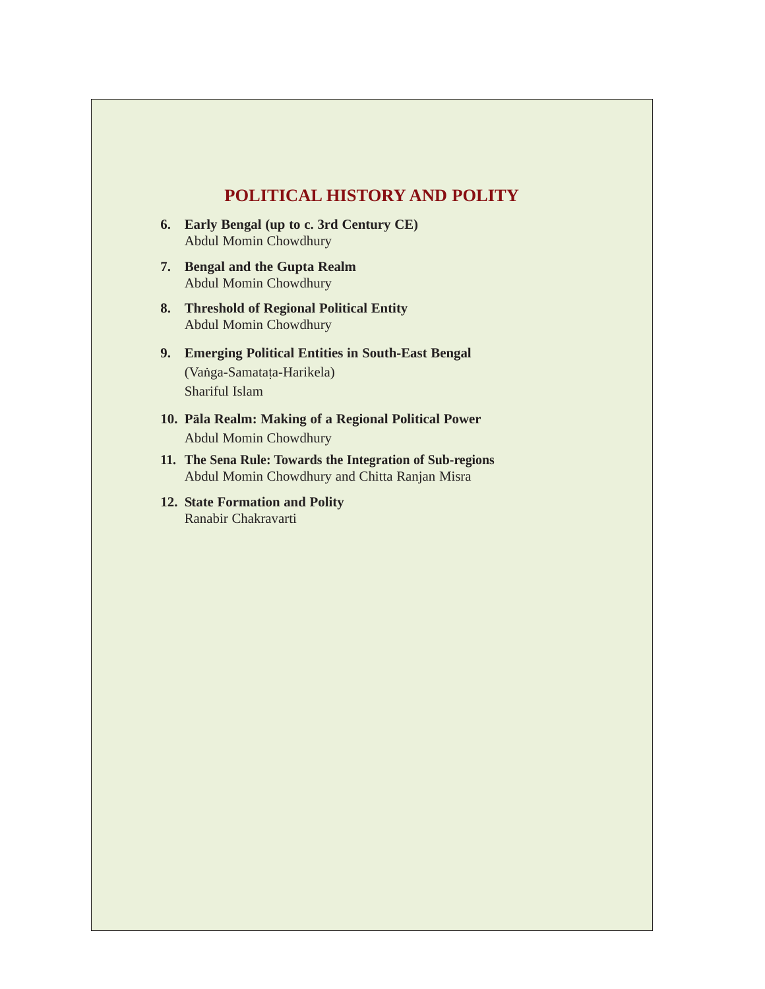# **POLITICAL HISTORY AND POLITY**

- **6. Early Bengal (up to c. 3rd Century CE)** Abdul Momin Chowdhury
- **7. Bengal and the Gupta Realm**  Abdul Momin Chowdhury
- **8. Threshold of Regional Political Entity** Abdul Momin Chowdhury
- **9. Emerging Political Entities in South-East Bengal**  (Vabga-Samatata-Harikela) Shariful Islam
- **10. Pala Realm: Making of a Regional Political Power** Abdul Momin Chowdhury
- **11. The Sena Rule: Towards the Integration of Sub-regions** Abdul Momin Chowdhury and Chitta Ranjan Misra
- **12. State Formation and Polity** Ranabir Chakravarti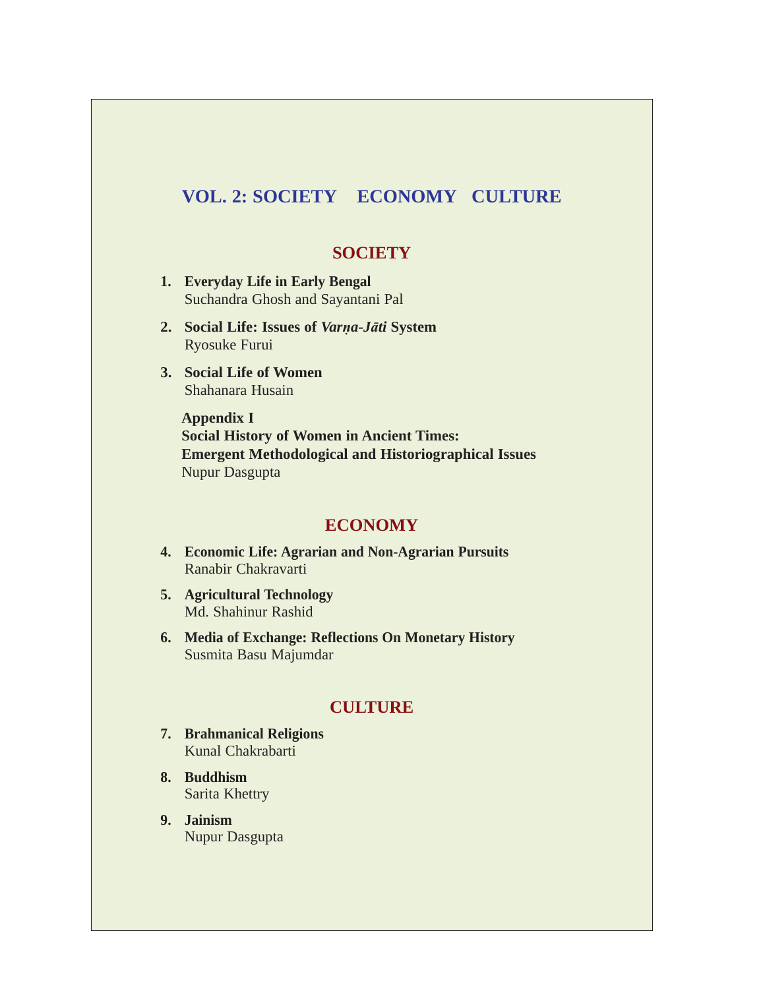# **VOL. 2: SOCIETY ECONOMY CULTURE**

# **SOCIETY**

- **1. Everyday Life in Early Bengal** Suchandra Ghosh and Sayantani Pal
- **2. Social Life: Issues of** *Varna-Jati* **System** Ryosuke Furui
- **3. Social Life of Women** Shahanara Husain

**Appendix I Social History of Women in Ancient Times: Emergent Methodological and Historiographical Issues** Nupur Dasgupta

# **ECONOMY**

- **4. Economic Life: Agrarian and Non-Agrarian Pursuits** Ranabir Chakravarti
- **5. Agricultural Technology** Md. Shahinur Rashid
- **6. Media of Exchange: Reflections On Monetary History** Susmita Basu Majumdar

# **CULTURE**

- **7. Brahmanical Religions** Kunal Chakrabarti
- **8. Buddhism** Sarita Khettry
- **9. Jainism** Nupur Dasgupta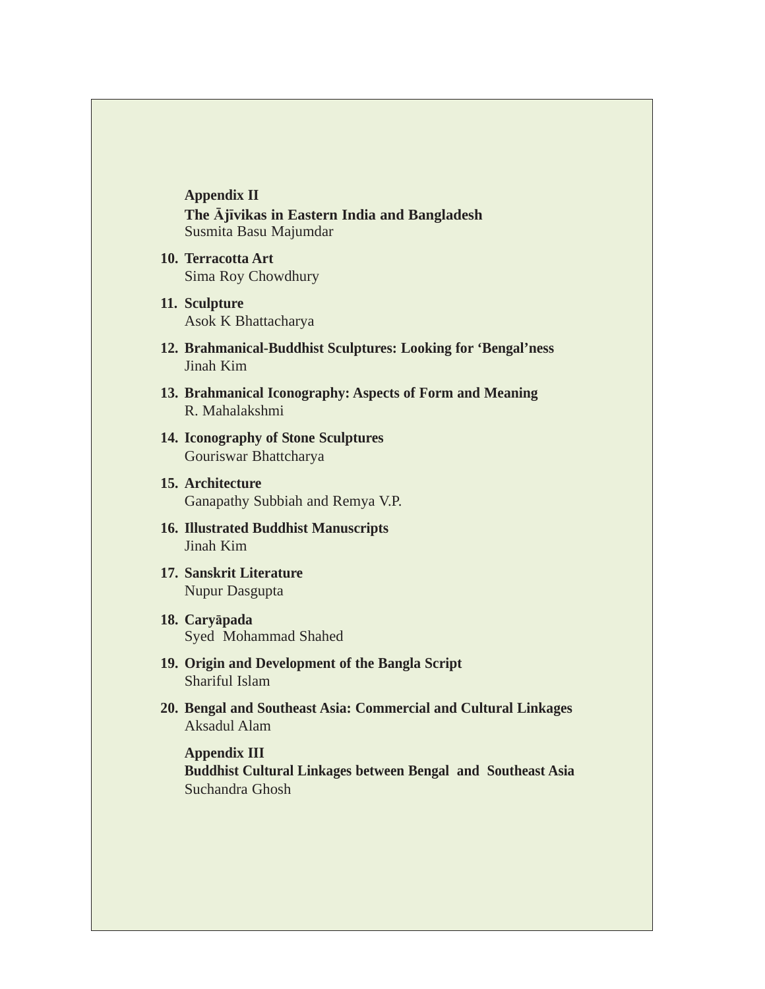**Appendix II The Ajivikas in Eastern India and Bangladesh** Susmita Basu Majumdar

- **10. Terracotta Art** Sima Roy Chowdhury
- **11. Sculpture** Asok K Bhattacharya
- **12. Brahmanical-Buddhist Sculptures: Looking for 'Bengal'ness** Jinah Kim
- **13. Brahmanical Iconography: Aspects of Form and Meaning** R. Mahalakshmi
- **14. Iconography of Stone Sculptures** Gouriswar Bhattcharya
- **15. Architecture** Ganapathy Subbiah and Remya V.P.
- **16. Illustrated Buddhist Manuscripts** Jinah Kim
- **17. Sanskrit Literature** Nupur Dasgupta
- **18. Caryapada** Syed Mohammad Shahed
- **19. Origin and Development of the Bangla Script** Shariful Islam
- **20. Bengal and Southeast Asia: Commercial and Cultural Linkages** Aksadul Alam

**Appendix III Buddhist Cultural Linkages between Bengal and Southeast Asia** Suchandra Ghosh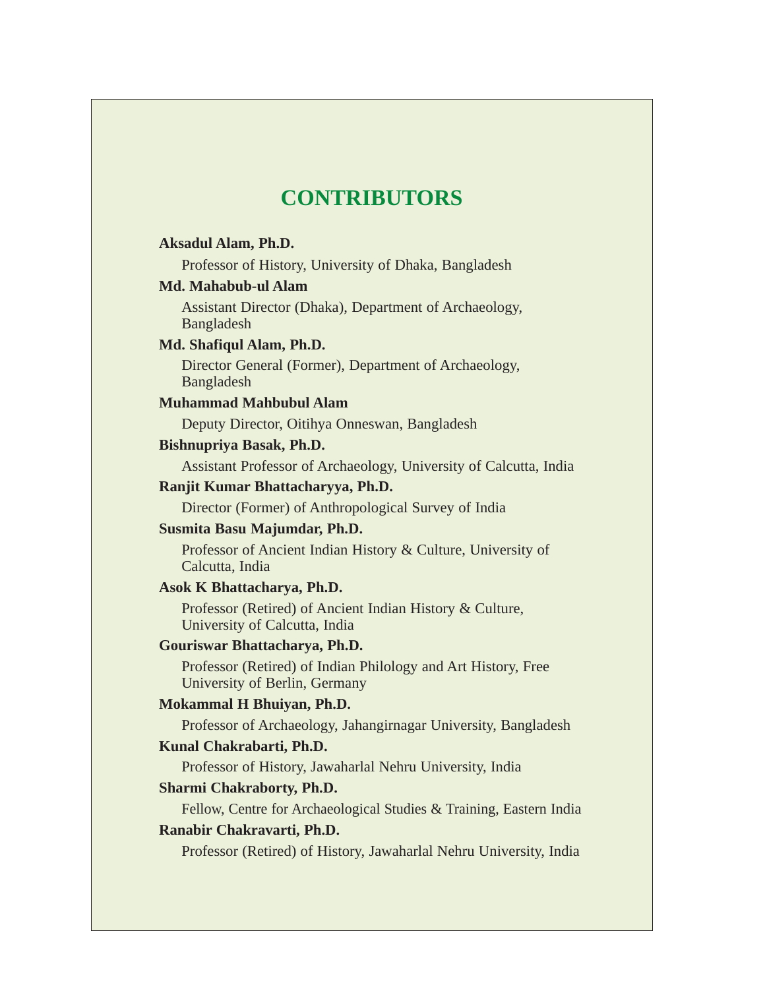# **CONTRIBUTORS**

#### **Aksadul Alam, Ph.D.**

Professor of History, University of Dhaka, Bangladesh

#### **Md. Mahabub-ul Alam**

Assistant Director (Dhaka), Department of Archaeology, Bangladesh

#### **Md. Shafiqul Alam, Ph.D.**

Director General (Former), Department of Archaeology, Bangladesh

#### **Muhammad Mahbubul Alam**

Deputy Director, Oitihya Onneswan, Bangladesh

#### **Bishnupriya Basak, Ph.D.**

Assistant Professor of Archaeology, University of Calcutta, India

## **Ranjit Kumar Bhattacharyya, Ph.D.**

Director (Former) of Anthropological Survey of India

#### **Susmita Basu Majumdar, Ph.D.**

Professor of Ancient Indian History & Culture, University of Calcutta, India

#### **Asok K Bhattacharya, Ph.D.**

Professor (Retired) of Ancient Indian History & Culture, University of Calcutta, India

#### **Gouriswar Bhattacharya, Ph.D.**

Professor (Retired) of Indian Philology and Art History, Free University of Berlin, Germany

## **Mokammal H Bhuiyan, Ph.D.**

Professor of Archaeology, Jahangirnagar University, Bangladesh

#### **Kunal Chakrabarti, Ph.D.**

Professor of History, Jawaharlal Nehru University, India

#### **Sharmi Chakraborty, Ph.D.**

Fellow, Centre for Archaeological Studies & Training, Eastern India

## **Ranabir Chakravarti, Ph.D.**

Professor (Retired) of History, Jawaharlal Nehru University, India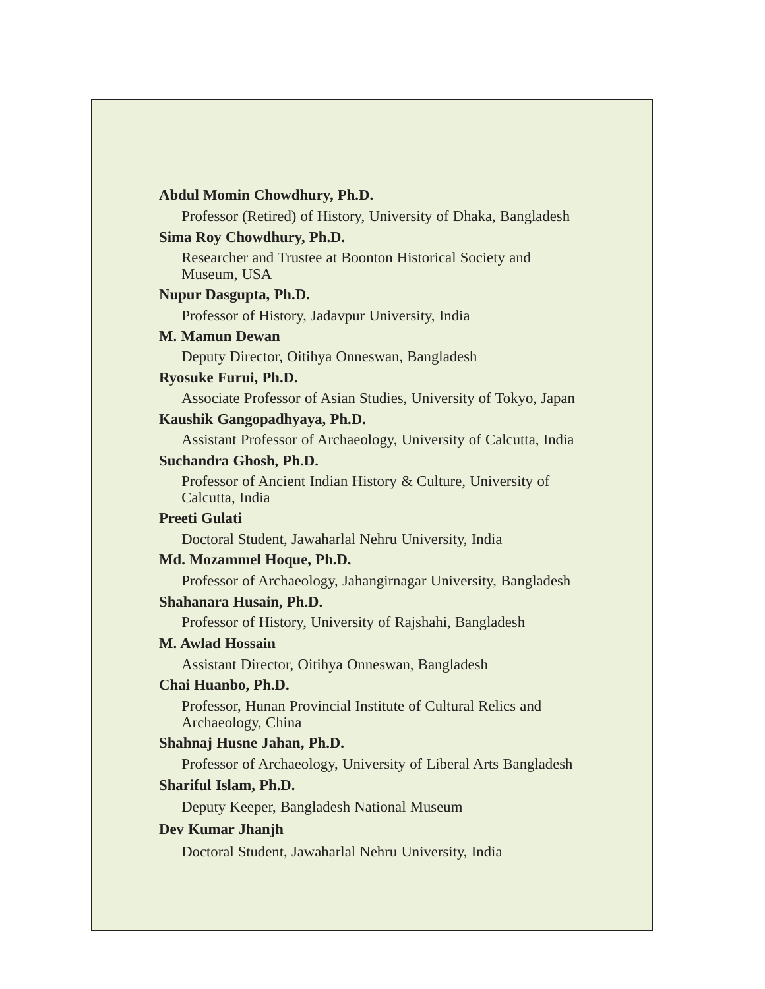## **Abdul Momin Chowdhury, Ph.D.**

Professor (Retired) of History, University of Dhaka, Bangladesh

#### **Sima Roy Chowdhury, Ph.D.**

Researcher and Trustee at Boonton Historical Society and Museum, USA

#### **Nupur Dasgupta, Ph.D.**

Professor of History, Jadavpur University, India

#### **M. Mamun Dewan**

Deputy Director, Oitihya Onneswan, Bangladesh

#### **Ryosuke Furui, Ph.D.**

Associate Professor of Asian Studies, University of Tokyo, Japan

#### **Kaushik Gangopadhyaya, Ph.D.**

Assistant Professor of Archaeology, University of Calcutta, India

#### **Suchandra Ghosh, Ph.D.**

Professor of Ancient Indian History & Culture, University of Calcutta, India

# **Preeti Gulati**

Doctoral Student, Jawaharlal Nehru University, India

#### **Md. Mozammel Hoque, Ph.D.**

Professor of Archaeology, Jahangirnagar University, Bangladesh

#### **Shahanara Husain, Ph.D.**

Professor of History, University of Rajshahi, Bangladesh

## **M. Awlad Hossain**

Assistant Director, Oitihya Onneswan, Bangladesh

#### **Chai Huanbo, Ph.D.**

Professor, Hunan Provincial Institute of Cultural Relics and Archaeology, China

#### **Shahnaj Husne Jahan, Ph.D.**

Professor of Archaeology, University of Liberal Arts Bangladesh

#### **Shariful Islam, Ph.D.**

Deputy Keeper, Bangladesh National Museum

#### **Dev Kumar Jhanjh**

Doctoral Student, Jawaharlal Nehru University, India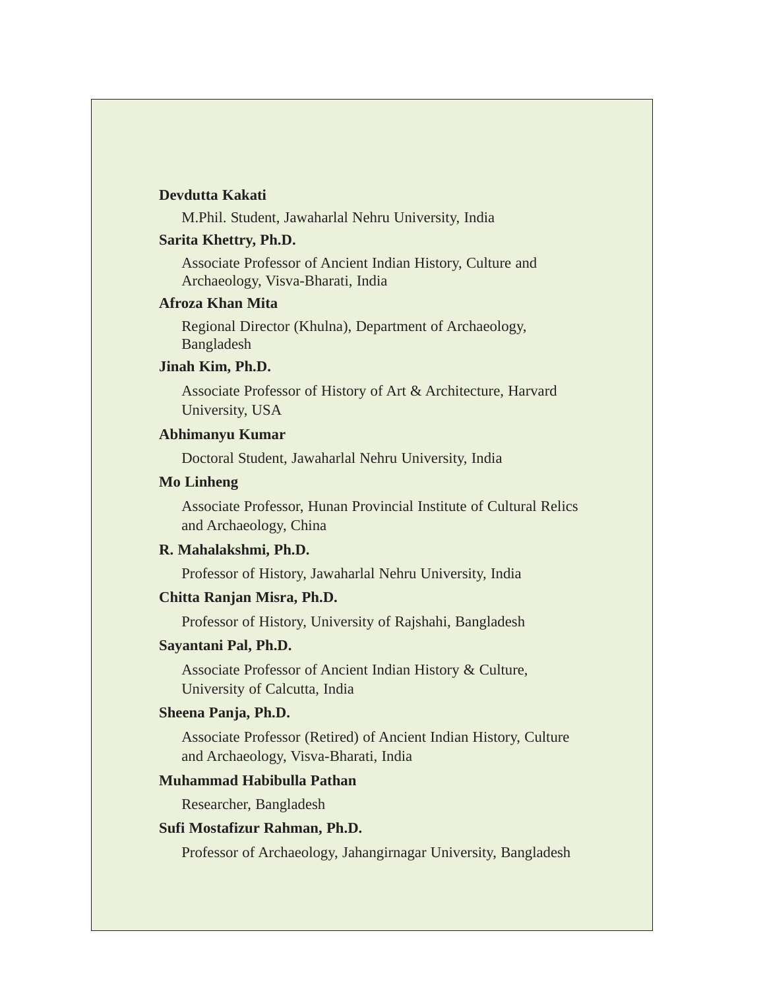#### **Devdutta Kakati**

M.Phil. Student, Jawaharlal Nehru University, India

#### **Sarita Khettry, Ph.D.**

Associate Professor of Ancient Indian History, Culture and Archaeology, Visva-Bharati, India

## **Afroza Khan Mita**

Regional Director (Khulna), Department of Archaeology, Bangladesh

#### **Jinah Kim, Ph.D.**

Associate Professor of History of Art & Architecture, Harvard University, USA

#### **Abhimanyu Kumar**

Doctoral Student, Jawaharlal Nehru University, India

#### **Mo Linheng**

Associate Professor, Hunan Provincial Institute of Cultural Relics and Archaeology, China

#### **R. Mahalakshmi, Ph.D.**

Professor of History, Jawaharlal Nehru University, India

## **Chitta Ranjan Misra, Ph.D.**

Professor of History, University of Rajshahi, Bangladesh

#### **Sayantani Pal, Ph.D.**

Associate Professor of Ancient Indian History & Culture, University of Calcutta, India

#### **Sheena Panja, Ph.D.**

Associate Professor (Retired) of Ancient Indian History, Culture and Archaeology, Visva-Bharati, India

#### **Muhammad Habibulla Pathan**

Researcher, Bangladesh

#### **Sufi Mostafizur Rahman, Ph.D.**

Professor of Archaeology, Jahangirnagar University, Bangladesh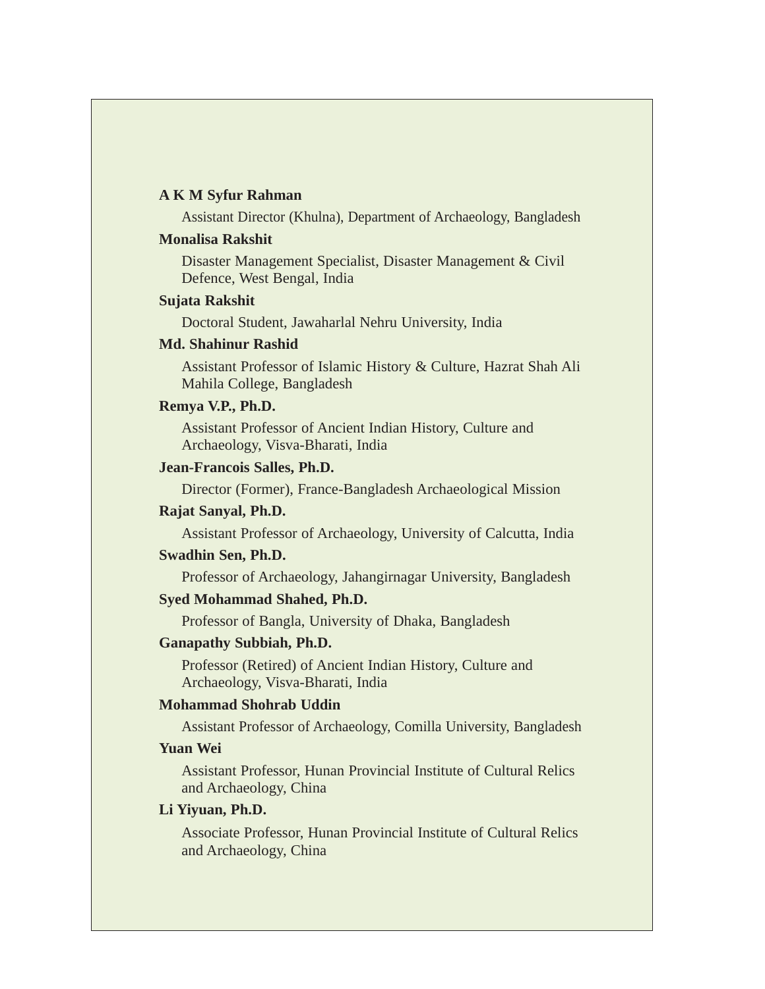#### **A K M Syfur Rahman**

Assistant Director (Khulna), Department of Archaeology, Bangladesh

#### **Monalisa Rakshit**

Disaster Management Specialist, Disaster Management & Civil Defence, West Bengal, India

#### **Sujata Rakshit**

Doctoral Student, Jawaharlal Nehru University, India

#### **Md. Shahinur Rashid**

Assistant Professor of Islamic History & Culture, Hazrat Shah Ali Mahila College, Bangladesh

#### **Remya V.P., Ph.D.**

Assistant Professor of Ancient Indian History, Culture and Archaeology, Visva-Bharati, India

#### **Jean-Francois Salles, Ph.D.**

Director (Former), France-Bangladesh Archaeological Mission

#### **Rajat Sanyal, Ph.D.**

Assistant Professor of Archaeology, University of Calcutta, India

#### **Swadhin Sen, Ph.D.**

Professor of Archaeology, Jahangirnagar University, Bangladesh

#### **Syed Mohammad Shahed, Ph.D.**

Professor of Bangla, University of Dhaka, Bangladesh

#### **Ganapathy Subbiah, Ph.D.**

Professor (Retired) of Ancient Indian History, Culture and Archaeology, Visva-Bharati, India

#### **Mohammad Shohrab Uddin**

Assistant Professor of Archaeology, Comilla University, Bangladesh

#### **Yuan Wei**

Assistant Professor, Hunan Provincial Institute of Cultural Relics and Archaeology, China

#### **Li Yiyuan, Ph.D.**

Associate Professor, Hunan Provincial Institute of Cultural Relics and Archaeology, China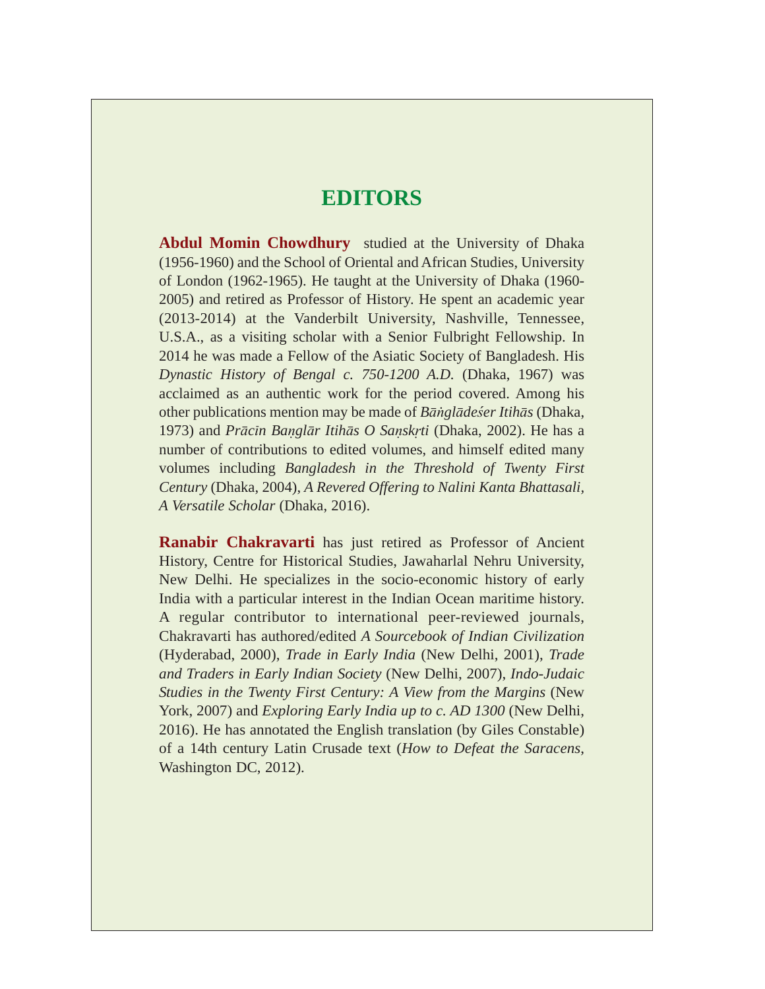# **EDITORS**

**Abdul Momin Chowdhury** studied at the University of Dhaka (1956-1960) and the School of Oriental and African Studies, University of London (1962-1965). He taught at the University of Dhaka (1960- 2005) and retired as Professor of History. He spent an academic year (2013-2014) at the Vanderbilt University, Nashville, Tennessee, U.S.A., as a visiting scholar with a Senior Fulbright Fellowship. In 2014 he was made a Fellow of the Asiatic Society of Bangladesh. His *Dynastic History of Bengal c. 750-1200 A.D.* (Dhaka, 1967) was acclaimed as an authentic work for the period covered. Among his other publications mention may be made of *Babgladexer Itihas* (Dhaka, 1973) and *Pracin Banglar Itihas O Sanskrti* (Dhaka, 2002). He has a number of contributions to edited volumes, and himself edited many volumes including *Bangladesh in the Threshold of Twenty First Century* (Dhaka, 2004), *A Revered Offering to Nalini Kanta Bhattasali, A Versatile Scholar* (Dhaka, 2016).

**Ranabir Chakravarti** has just retired as Professor of Ancient History, Centre for Historical Studies, Jawaharlal Nehru University, New Delhi. He specializes in the socio-economic history of early India with a particular interest in the Indian Ocean maritime history. A regular contributor to international peer-reviewed journals, Chakravarti has authored/edited *A Sourcebook of Indian Civilization* (Hyderabad, 2000), *Trade in Early India* (New Delhi, 2001), *Trade and Traders in Early Indian Society* (New Delhi, 2007), *Indo-Judaic Studies in the Twenty First Century: A View from the Margins* (New York, 2007) and *Exploring Early India up to c. AD 1300* (New Delhi, 2016). He has annotated the English translation (by Giles Constable) of a 14th century Latin Crusade text (*How to Defeat the Saracens*, Washington DC, 2012).